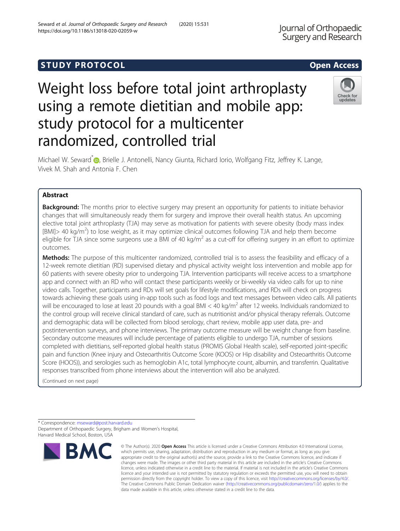# **STUDY PROTOCOL** And the state of the state of the state of the state of the state of the state of the state of the state of the state of the state of the state of the state of the state of the state of the state of the st

# Weight loss before total joint arthroplasty using a remote dietitian and mobile app: study protocol for a multicenter randomized, controlled trial

Michael W. Seward<sup>[\\*](http://orcid.org/0000-0002-4813-6308)</sup> (**p**, Brielle J. Antonelli, Nancy Giunta, Richard Iorio, Wolfgang Fitz, Jeffrey K. Lange, Vivek M. Shah and Antonia F. Chen

# Abstract

**Background:** The months prior to elective surgery may present an opportunity for patients to initiate behavior changes that will simultaneously ready them for surgery and improve their overall health status. An upcoming elective total joint arthroplasty (TJA) may serve as motivation for patients with severe obesity (body mass index [BMI]> 40 kg/m<sup>2</sup>) to lose weight, as it may optimize clinical outcomes following TJA and help them become eligible for TJA since some surgeons use a BMI of 40 kg/m<sup>2</sup> as a cut-off for offering surgery in an effort to optimize outcomes.

Methods: The purpose of this multicenter randomized, controlled trial is to assess the feasibility and efficacy of a 12-week remote dietitian (RD) supervised dietary and physical activity weight loss intervention and mobile app for 60 patients with severe obesity prior to undergoing TJA. Intervention participants will receive access to a smartphone app and connect with an RD who will contact these participants weekly or bi-weekly via video calls for up to nine video calls. Together, participants and RDs will set goals for lifestyle modifications, and RDs will check on progress towards achieving these goals using in-app tools such as food logs and text messages between video calls. All patients will be encouraged to lose at least 20 pounds with a goal BMI  $<$  40 kg/m<sup>2</sup> after 12 weeks. Individuals randomized to the control group will receive clinical standard of care, such as nutritionist and/or physical therapy referrals. Outcome and demographic data will be collected from blood serology, chart review, mobile app user data, pre- and postintervention surveys, and phone interviews. The primary outcome measure will be weight change from baseline. Secondary outcome measures will include percentage of patients eligible to undergo TJA, number of sessions completed with dietitians, self-reported global health status (PROMIS Global Health scale), self-reported joint-specific pain and function (Knee injury and Osteoarthritis Outcome Score (KOOS) or Hip disability and Osteoarthritis Outcome Score (HOOS)), and serologies such as hemoglobin A1c, total lymphocyte count, albumin, and transferrin. Qualitative responses transcribed from phone interviews about the intervention will also be analyzed.

(Continued on next page)

\* Correspondence: [mseward@post.harvard.edu](mailto:mseward@post.harvard.edu) Department of Orthopaedic Surgery, Brigham and Women's Hospital, Harvard Medical School, Boston, USA



<sup>©</sup> The Author(s), 2020 **Open Access** This article is licensed under a Creative Commons Attribution 4.0 International License, which permits use, sharing, adaptation, distribution and reproduction in any medium or format, as long as you give appropriate credit to the original author(s) and the source, provide a link to the Creative Commons licence, and indicate if changes were made. The images or other third party material in this article are included in the article's Creative Commons licence, unless indicated otherwise in a credit line to the material. If material is not included in the article's Creative Commons licence and your intended use is not permitted by statutory regulation or exceeds the permitted use, you will need to obtain permission directly from the copyright holder. To view a copy of this licence, visit [http://creativecommons.org/licenses/by/4.0/.](http://creativecommons.org/licenses/by/4.0/) The Creative Commons Public Domain Dedication waiver [\(http://creativecommons.org/publicdomain/zero/1.0/](http://creativecommons.org/publicdomain/zero/1.0/)) applies to the data made available in this article, unless otherwise stated in a credit line to the data.





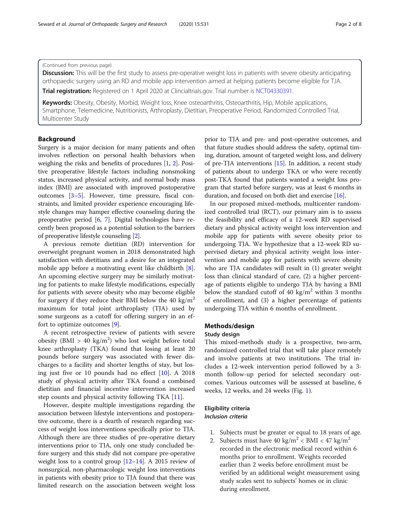#### (Continued from previous page)

Discussion: This will be the first study to assess pre-operative weight loss in patients with severe obesity anticipating orthopaedic surgery using an RD and mobile app intervention aimed at helping patients become eligible for TJA.

Trial registration: Registered on 1 April 2020 at Clincialtrials.gov. Trial number is [NCT04330391](https://clinicaltrials.gov/ct2/show/NCT04330391).

Keywords: Obesity, Obesity, Morbid, Weight loss, Knee osteoarthritis, Osteoarthritis, Hip, Mobile applications, Smartphone, Telemedicine, Nutritionists, Arthroplasty, Dietitian, Preoperative Period, Randomized Controlled Trial, Multicenter Study

# Background

Surgery is a major decision for many patients and often involves reflection on personal health behaviors when weighing the risks and benefits of procedures [\[1,](#page-7-0) [2\]](#page-7-0). Positive preoperative lifestyle factors including nonsmoking status, increased physical activity, and normal body mass index (BMI) are associated with improved postoperative outcomes  $[3-5]$  $[3-5]$  $[3-5]$ . However, time pressure, fiscal constraints, and limited provider experience encouraging lifestyle changes may hamper effective counseling during the preoperative period [\[6](#page-7-0), [7\]](#page-7-0). Digital technologies have recently been proposed as a potential solution to the barriers of preoperative lifestyle counseling [\[2](#page-7-0)].

A previous remote dietitian (RD) intervention for overweight pregnant women in 2018 demonstrated high satisfaction with dietitians and a desire for an integrated mobile app before a motivating event like childbirth [\[8](#page-7-0)]. An upcoming elective surgery may be similarly motivating for patients to make lifestyle modifications, especially for patients with severe obesity who may become eligible for surgery if they reduce their BMI below the 40 kg/ $m<sup>2</sup>$ maximum for total joint arthroplasty (TJA) used by some surgeons as a cutoff for offering surgery in an effort to optimize outcomes [[9\]](#page-7-0).

A recent retrospective review of patients with severe obesity (BMI > 40 kg/m<sup>2</sup>) who lost weight before total knee arthroplasty (TKA) found that losing at least 20 pounds before surgery was associated with fewer discharges to a facility and shorter lengths of stay, but losing just five or 10 pounds had no effect [[10](#page-7-0)]. A 2018 study of physical activity after TKA found a combined dietitian and financial incentive intervention increased step counts and physical activity following TKA [[11\]](#page-7-0).

However, despite multiple investigations regarding the association between lifestyle interventions and postoperative outcome, there is a dearth of research regarding success of weight loss interventions specifically prior to TJA. Although there are three studies of pre-operative dietary interventions prior to TJA, only one study concluded before surgery and this study did not compare pre-operative weight loss to a control group  $[12-14]$  $[12-14]$  $[12-14]$  $[12-14]$ . A 2015 review of nonsurgical, non-pharmacologic weight loss interventions in patients with obesity prior to TJA found that there was limited research on the association between weight loss prior to TJA and pre- and post-operative outcomes, and that future studies should address the safety, optimal timing, duration, amount of targeted weight loss, and delivery of pre-TJA interventions [[15](#page-7-0)]. In addition, a recent study of patients about to undergo TKA or who were recently post-TKA found that patients wanted a weight loss program that started before surgery, was at least 6 months in duration, and focused on both diet and exercise [[16](#page-7-0)].

In our proposed mixed-methods, multicenter randomized controlled trial (RCT), our primary aim is to assess the feasibility and efficacy of a 12-week RD supervised dietary and physical activity weight loss intervention and mobile app for patients with severe obesity prior to undergoing TJA. We hypothesize that a 12-week RD supervised dietary and physical activity weight loss intervention and mobile app for patients with severe obesity who are TJA candidates will result in (1) greater weight loss than clinical standard of care, (2) a higher percentage of patients eligible to undergo TJA by having a BMI below the standard cutoff of 40 kg/ $m^2$  within 3 months of enrollment, and (3) a higher percentage of patients undergoing TJA within 6 months of enrollment.

# Methods/design

#### Study design

This mixed-methods study is a prospective, two-arm, randomized controlled trial that will take place remotely and involve patients at two institutions. The trial includes a 12-week intervention period followed by a 3 month follow-up period for selected secondary outcomes. Various outcomes will be assessed at baseline, 6 weeks, 12 weeks, and 24 weeks (Fig. [1\)](#page-2-0).

# Eligibility criteria Inclusion criteria

- 1. Subjects must be greater or equal to 18 years of age.
- 2. Subjects must have  $40 \text{ kg/m}^2 < \text{BMI} < 47 \text{ kg/m}^2$ recorded in the electronic medical record within 6 months prior to enrollment. Weights recorded earlier than 2 weeks before enrollment must be verified by an additional weight measurement using study scales sent to subjects' homes or in clinic during enrollment.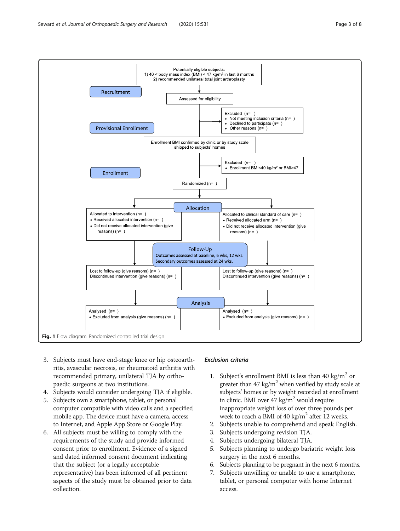<span id="page-2-0"></span>

- 3. Subjects must have end-stage knee or hip osteoarthritis, avascular necrosis, or rheumatoid arthritis with recommended primary, unilateral TJA by orthopaedic surgeons at two institutions.
- 4. Subjects would consider undergoing TJA if eligible.
- 5. Subjects own a smartphone, tablet, or personal computer compatible with video calls and a specified mobile app. The device must have a camera, access to Internet, and Apple App Store or Google Play.
- 6. All subjects must be willing to comply with the requirements of the study and provide informed consent prior to enrollment. Evidence of a signed and dated informed consent document indicating that the subject (or a legally acceptable representative) has been informed of all pertinent aspects of the study must be obtained prior to data collection.

# Exclusion criteria

- 1. Subject's enrollment BMI is less than 40 kg/m<sup>2</sup> or greater than 47 kg/ $m^2$  when verified by study scale at subjects' homes or by weight recorded at enrollment in clinic. BMI over  $47 \text{ kg/m}^2$  would require inappropriate weight loss of over three pounds per week to reach a BMI of 40 kg/ $m<sup>2</sup>$  after 12 weeks.
- 2. Subjects unable to comprehend and speak English.
- 3. Subjects undergoing revision TJA.
- 4. Subjects undergoing bilateral TJA.
- 5. Subjects planning to undergo bariatric weight loss surgery in the next 6 months.
- 6. Subjects planning to be pregnant in the next 6 months.
- 7. Subjects unwilling or unable to use a smartphone, tablet, or personal computer with home Internet access.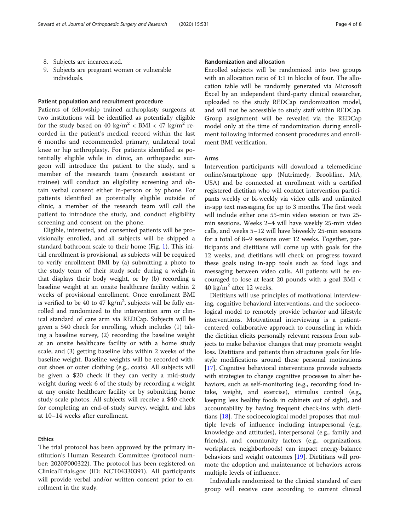- 8. Subjects are incarcerated.
- 9. Subjects are pregnant women or vulnerable individuals.

#### Patient population and recruitment procedure

Patients of fellowship trained arthroplasty surgeons at two institutions will be identified as potentially eligible for the study based on 40 kg/m<sup>2</sup> < BMI < 47 kg/m<sup>2</sup> recorded in the patient's medical record within the last 6 months and recommended primary, unilateral total knee or hip arthroplasty. For patients identified as potentially eligible while in clinic, an orthopaedic surgeon will introduce the patient to the study, and a member of the research team (research assistant or trainee) will conduct an eligibility screening and obtain verbal consent either in-person or by phone. For patients identified as potentially eligible outside of clinic, a member of the research team will call the patient to introduce the study, and conduct eligibility screening and consent on the phone.

Eligible, interested, and consented patients will be provisionally enrolled, and all subjects will be shipped a standard bathroom scale to their home (Fig. [1\)](#page-2-0). This initial enrollment is provisional, as subjects will be required to verify enrollment BMI by (a) submitting a photo to the study team of their study scale during a weigh-in that displays their body weight, or by (b) recording a baseline weight at an onsite healthcare facility within 2 weeks of provisional enrollment. Once enrollment BMI is verified to be 40 to 47 kg/m<sup>2</sup>, subjects will be fully enrolled and randomized to the intervention arm or clinical standard of care arm via REDCap. Subjects will be given a \$40 check for enrolling, which includes (1) taking a baseline survey, (2) recording the baseline weight at an onsite healthcare facility or with a home study scale, and (3) getting baseline labs within 2 weeks of the baseline weight. Baseline weights will be recorded without shoes or outer clothing (e.g., coats). All subjects will be given a \$20 check if they can verify a mid-study weight during week 6 of the study by recording a weight at any onsite healthcare facility or by submitting home study scale photos. All subjects will receive a \$40 check for completing an end-of-study survey, weight, and labs at 10–14 weeks after enrollment.

# Ethics

The trial protocol has been approved by the primary institution's Human Research Committee (protocol number: 2020P000322). The protocol has been registered on ClinicalTrials.gov (ID: NCT04330391). All participants will provide verbal and/or written consent prior to enrollment in the study.

# Randomization and allocation

Enrolled subjects will be randomized into two groups with an allocation ratio of 1:1 in blocks of four. The allocation table will be randomly generated via Microsoft Excel by an independent third-party clinical researcher, uploaded to the study REDCap randomization model, and will not be accessible to study staff within REDCap. Group assignment will be revealed via the REDCap model only at the time of randomization during enrollment following informed consent procedures and enrollment BMI verification.

#### Arms

Intervention participants will download a telemedicine online/smartphone app (Nutrimedy, Brookline, MA, USA) and be connected at enrollment with a certified registered dietitian who will contact intervention participants weekly or bi-weekly via video calls and unlimited in-app text messaging for up to 3 months. The first week will include either one 55-min video session or two 25 min sessions. Weeks 2–4 will have weekly 25-min video calls, and weeks 5–12 will have biweekly 25-min sessions for a total of 8–9 sessions over 12 weeks. Together, participants and dietitians will come up with goals for the 12 weeks, and dietitians will check on progress toward these goals using in-app tools such as food logs and messaging between video calls. All patients will be encouraged to lose at least 20 pounds with a goal BMI < 40 kg/m<sup>2</sup> after 12 weeks.

Dietitians will use principles of motivational interviewing, cognitive behavioral interventions, and the socioecological model to remotely provide behavior and lifestyle interventions. Motivational interviewing is a patientcentered, collaborative approach to counseling in which the dietitian elicits personally relevant reasons from subjects to make behavior changes that may promote weight loss. Dietitians and patients then structures goals for lifestyle modifications around these personal motivations [[17\]](#page-7-0). Cognitive behavioral interventions provide subjects with strategies to change cognitive processes to alter behaviors, such as self-monitoring (e.g., recording food intake, weight, and exercise), stimulus control (e.g., keeping less healthy foods in cabinets out of sight), and accountability by having frequent check-ins with dietitians [\[18](#page-7-0)]. The socioecological model proposes that multiple levels of influence including intrapersonal (e.g., knowledge and attitudes), interpersonal (e.g., family and friends), and community factors (e.g., organizations, workplaces, neighborhoods) can impact energy-balance behaviors and weight outcomes [[19\]](#page-7-0). Dietitians will promote the adoption and maintenance of behaviors across multiple levels of influence.

Individuals randomized to the clinical standard of care group will receive care according to current clinical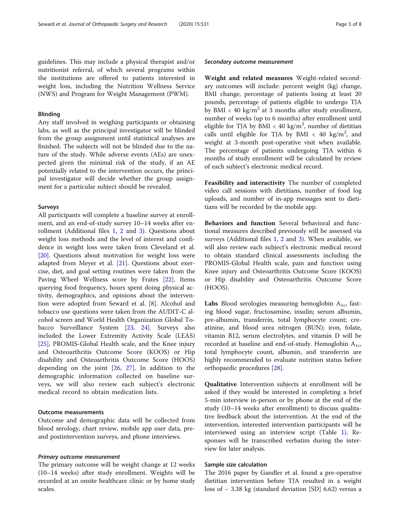guidelines. This may include a physical therapist and/or nutritionist referral, of which several programs within the institutions are offered to patients interested in weight loss, including the Nutrition Wellness Service (NWS) and Program for Weight Management (PWM).

#### Blinding

Any staff involved in weighing participants or obtaining labs, as well as the principal investigator will be blinded from the group assignment until statistical analyses are finished. The subjects will not be blinded due to the nature of the study. While adverse events (AEs) are unexpected given the minimal risk of the study, if an AE potentially related to the intervention occurs, the principal investigator will decide whether the group assignment for a particular subject should be revealed.

#### Surveys

All participants will complete a baseline survey at enrollment, and an end-of-study survey 10–14 weeks after enrollment (Additional files [1](#page-6-0), [2](#page-6-0) and [3](#page-6-0)). Questions about weight loss methods and the level of interest and confidence in weight loss were taken from Cleveland et al. [[20\]](#page-7-0). Questions about motivation for weight loss were adapted from Meyer et al. [[21\]](#page-7-0). Questions about exercise, diet, and goal setting routines were taken from the Paving Wheel Wellness score by Frates [[22\]](#page-7-0). Items querying food frequency, hours spent doing physical activity, demographics, and opinions about the intervention were adopted from Seward et al. [[8](#page-7-0)]. Alcohol and tobacco use questions were taken from the AUDIT-C alcohol screen and World Health Organization Global Tobacco Surveillance System [[23,](#page-7-0) [24\]](#page-7-0). Surveys also included the Lower Extremity Activity Scale (LEAS) [[25\]](#page-7-0), PROMIS-Global Health scale, and the Knee injury and Osteoarthritis Outcome Score (KOOS) or Hip disability and Osteoarthritis Outcome Score (HOOS) depending on the joint  $[26, 27]$  $[26, 27]$  $[26, 27]$  $[26, 27]$ . In addition to the demographic information collected on baseline surveys, we will also review each subject's electronic medical record to obtain medication lists.

## Outcome measurements

Outcome and demographic data will be collected from blood serology, chart review, mobile app user data, preand postintervention surveys, and phone interviews.

# Primary outcome measurement

The primary outcome will be weight change at 12 weeks (10–14 weeks) after study enrollment. Weights will be recorded at an onsite healthcare clinic or by home study scales.

#### Secondary outcome measurement

Weight and related measures Weight-related secondary outcomes will include: percent weight (kg) change, BMI change, percentage of patients losing at least 20 pounds, percentage of patients eligible to undergo TJA by BMI < 40 kg/m<sup>2</sup> at 3 months after study enrollment, number of weeks (up to 6 months) after enrollment until eligible for TJA by  $BMI < 40$  kg/m<sup>2</sup>, number of dietitian calls until eligible for TJA by BMI < 40 kg/m<sup>2</sup>, and weight at 3-month post-operative visit when available. The percentage of patients undergoing TJA within 6 months of study enrollment will be calculated by review of each subject's electronic medical record.

Feasibility and interactivity The number of completed video call sessions with dietitians, number of food log uploads, and number of in-app messages sent to dietitians will be recorded by the mobile app.

Behaviors and function Several behavioral and functional measures described previously will be assessed via surveys (Additional files [1](#page-6-0), [2](#page-6-0) and [3\)](#page-6-0). When available, we will also review each subject's electronic medical record to obtain standard clinical assessments including the PROMIS-Global Health scale, pain and function using Knee injury and Osteoarthritis Outcome Score (KOOS) or Hip disability and Osteoarthritis Outcome Score (HOOS).

Labs Blood serologies measuring hemoglobin  $A_{1c}$ , fasting blood sugar, fructosamine, insulin; serum albumin, pre-albumin, transferrin, total lymphocyte count; creatinine, and blood urea nitrogen (BUN); iron, folate, vitamin B12, serum electrolytes, and vitamin D will be recorded at baseline and end-of-study. Hemoglobin  $A_{1c}$ , total lymphocyte count, albumin, and transferrin are highly recommended to evaluate nutrition status before orthopaedic procedures [[28](#page-7-0)].

Qualitative Intervention subjects at enrollment will be asked if they would be interested in completing a brief 5-min interview in-person or by phone at the end of the study (10–14 weeks after enrollment) to discuss qualitative feedback about the intervention. At the end of the intervention, interested intervention participants will be interviewed using an interview script (Table [1\)](#page-5-0). Responses will be transcribed verbatim during the interview for later analysis.

#### Sample size calculation

The 2016 paper by Gandler et al. found a pre-operative dietitian intervention before TJA resulted in a weight loss of − 3.38 kg (standard deviation [SD] 6.62) versus a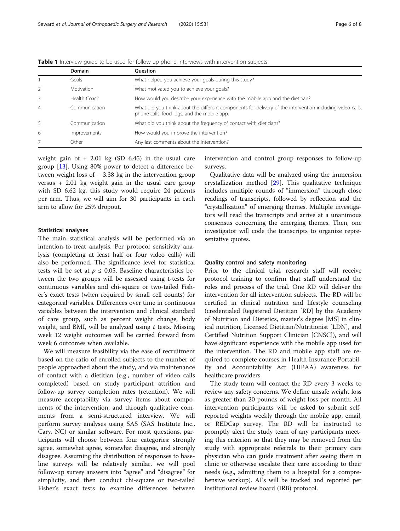|                | Domain        | <b>Ouestion</b>                                                                                                                                          |
|----------------|---------------|----------------------------------------------------------------------------------------------------------------------------------------------------------|
|                | Goals         | What helped you achieve your goals during this study?                                                                                                    |
|                | Motivation    | What motivated you to achieve your goals?                                                                                                                |
| 3              | Health Coach  | How would you describe your experience with the mobile app and the dietitian?                                                                            |
| $\overline{4}$ | Communication | What did you think about the different components for delivery of the intervention including video calls,<br>phone calls, food logs, and the mobile app. |
| 5              | Communication | What did you think about the frequency of contact with dieticians?                                                                                       |
| 6              | Improvements  | How would you improve the intervention?                                                                                                                  |
|                | Other         | Any last comments about the intervention?                                                                                                                |

<span id="page-5-0"></span>Table 1 Interview guide to be used for follow-up phone interviews with intervention subjects

weight gain of  $+ 2.01$  kg (SD 6.45) in the usual care group [[13\]](#page-7-0). Using 80% power to detect a difference between weight loss of − 3.38 kg in the intervention group versus + 2.01 kg weight gain in the usual care group with SD 6.62 kg, this study would require 24 patients per arm. Thus, we will aim for 30 participants in each arm to allow for 25% dropout.

#### Statistical analyses

The main statistical analysis will be performed via an intention-to-treat analysis. Per protocol sensitivity analysis (completing at least half or four video calls) will also be performed. The significance level for statistical tests will be set at  $p \le 0.05$ . Baseline characteristics between the two groups will be assessed using t-tests for continuous variables and chi-square or two-tailed Fisher's exact tests (when required by small cell counts) for categorical variables. Differences over time in continuous variables between the intervention and clinical standard of care group, such as percent weight change, body weight, and BMI, will be analyzed using  $t$  tests. Missing week 12 weight outcomes will be carried forward from week 6 outcomes when available.

We will measure feasibility via the ease of recruitment based on the ratio of enrolled subjects to the number of people approached about the study, and via maintenance of contact with a dietitian (e.g., number of video calls completed) based on study participant attrition and follow-up survey completion rates (retention). We will measure acceptability via survey items about components of the intervention, and through qualitative comments from a semi-structured interview. We will perform survey analyses using SAS (SAS Institute Inc., Cary, NC) or similar software. For most questions, participants will choose between four categories: strongly agree, somewhat agree, somewhat disagree, and strongly disagree. Assuming the distribution of responses to baseline surveys will be relatively similar, we will pool follow-up survey answers into "agree" and "disagree" for simplicity, and then conduct chi-square or two-tailed Fisher's exact tests to examine differences between intervention and control group responses to follow-up surveys.

Qualitative data will be analyzed using the immersion crystallization method [[29](#page-7-0)]. This qualitative technique includes multiple rounds of "immersion" through close readings of transcripts, followed by reflection and the "crystallization" of emerging themes. Multiple investigators will read the transcripts and arrive at a unanimous consensus concerning the emerging themes. Then, one investigator will code the transcripts to organize representative quotes.

#### Quality control and safety monitoring

Prior to the clinical trial, research staff will receive protocol training to confirm that staff understand the roles and process of the trial. One RD will deliver the intervention for all intervention subjects. The RD will be certified in clinical nutrition and lifestyle counseling (credentialed Registered Dietitian [RD] by the Academy of Nutrition and Dietetics, master's degree [MS] in clinical nutrition, Licensed Dietitian/Nutritionist [LDN], and Certified Nutrition Support Clinician [CNSC]), and will have significant experience with the mobile app used for the intervention. The RD and mobile app staff are required to complete courses in Health Insurance Portability and Accountability Act (HIPAA) awareness for healthcare providers.

The study team will contact the RD every 3 weeks to review any safety concerns. We define unsafe weight loss as greater than 20 pounds of weight loss per month. All intervention participants will be asked to submit selfreported weights weekly through the mobile app, email, or REDCap survey. The RD will be instructed to promptly alert the study team of any participants meeting this criterion so that they may be removed from the study with appropriate referrals to their primary care physician who can guide treatment after seeing them in clinic or otherwise escalate their care according to their needs (e.g., admitting them to a hospital for a comprehensive workup). AEs will be tracked and reported per institutional review board (IRB) protocol.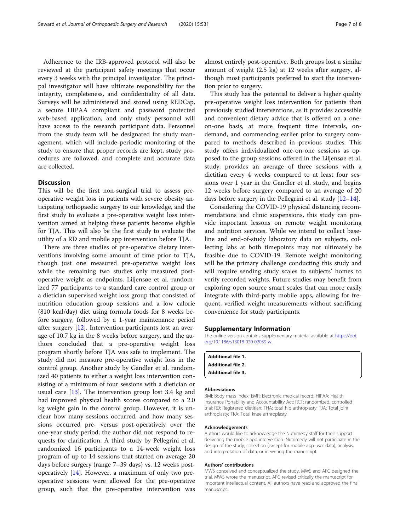<span id="page-6-0"></span>Adherence to the IRB-approved protocol will also be reviewed at the participant safety meetings that occur every 3 weeks with the principal investigator. The principal investigator will have ultimate responsibility for the integrity, completeness, and confidentiality of all data. Surveys will be administered and stored using REDCap, a secure HIPAA compliant and password protected web-based application, and only study personnel will have access to the research participant data. Personnel from the study team will be designated for study management, which will include periodic monitoring of the study to ensure that proper records are kept, study procedures are followed, and complete and accurate data are collected.

# **Discussion**

This will be the first non-surgical trial to assess preoperative weight loss in patients with severe obesity anticipating orthopaedic surgery to our knowledge, and the first study to evaluate a pre-operative weight loss intervention aimed at helping these patients become eligible for TJA. This will also be the first study to evaluate the utility of a RD and mobile app intervention before TJA.

There are three studies of pre-operative dietary interventions involving some amount of time prior to TJA, though just one measured pre-operative weight loss while the remaining two studies only measured postoperative weight as endpoints. Liljensøe et al. randomized 77 participants to a standard care control group or a dietician supervised weight loss group that consisted of nutrition education group sessions and a low calorie (810 kcal/day) diet using formula foods for 8 weeks before surgery, followed by a 1-year maintenance period after surgery [\[12\]](#page-7-0). Intervention participants lost an average of 10.7 kg in the 8 weeks before surgery, and the authors concluded that a pre-operative weight loss program shortly before TJA was safe to implement. The study did not measure pre-operative weight loss in the control group. Another study by Gandler et al. randomized 40 patients to either a weight loss intervention consisting of a minimum of four sessions with a dietician or usual care  $[13]$ . The intervention group lost 3.4 kg and had improved physical health scores compared to a 2.0 kg weight gain in the control group. However, it is unclear how many sessions occurred, and how many sessions occurred pre- versus post-operatively over the one-year study period; the author did not respond to requests for clarification. A third study by Pellegrini et al. randomized 16 participants to a 14-week weight loss program of up to 14 sessions that started on average 20 days before surgery (range 7–39 days) vs. 12 weeks postoperatively [[14\]](#page-7-0). However, a maximum of only two preoperative sessions were allowed for the pre-operative group, such that the pre-operative intervention was almost entirely post-operative. Both groups lost a similar amount of weight (2.5 kg) at 12 weeks after surgery, although most participants preferred to start the intervention prior to surgery.

This study has the potential to deliver a higher quality pre-operative weight loss intervention for patients than previously studied interventions, as it provides accessible and convenient dietary advice that is offered on a oneon-one basis, at more frequent time intervals, ondemand, and commencing earlier prior to surgery compared to methods described in previous studies. This study offers individualized one-on-one sessions as opposed to the group sessions offered in the Liljensøe et al. study, provides an average of three sessions with a dietitian every 4 weeks compared to at least four sessions over 1 year in the Gandler et al. study, and begins 12 weeks before surgery compared to an average of 20 days before surgery in the Pellegrini et al. study [\[12](#page-7-0)–[14\]](#page-7-0).

Considering the COVID-19 physical distancing recommendations and clinic suspensions, this study can provide important lessons on remote weight monitoring and nutrition services. While we intend to collect baseline and end-of-study laboratory data on subjects, collecting labs at both timepoints may not ultimately be feasible due to COVID-19. Remote weight monitoring will be the primary challenge conducting this study and will require sending study scales to subjects' homes to verify recorded weights. Future studies may benefit from exploring open source smart scales that can more easily integrate with third-party mobile apps, allowing for frequent, verified weight measurements without sacrificing convenience for study participants.

#### Supplementary Information

The online version contains supplementary material available at [https://doi.](https://doi.org/10.1186/s13018-020-02059-w) [org/10.1186/s13018-020-02059-w](https://doi.org/10.1186/s13018-020-02059-w).

| <b>Additional file 1.</b> |  |
|---------------------------|--|
| <b>Additional file 2.</b> |  |
| <b>Additional file 3.</b> |  |

#### Abbreviations

BMI: Body mass index; EMR: Electronic medical record; HIPAA: Health Insurance Portability and Accountability Act; RCT: randomized, controlled trial; RD: Registered dietitian; THA: total hip arthroplasty; TJA: Total joint arthroplasty; TKA: Total knee arthroplasty

#### Acknowledgements

Authors would like to acknowledge the Nutrimedy staff for their support delivering the mobile app intervention. Nutrimedy will not participate in the design of the study; collection (except for mobile app user data), analysis, and interpretation of data; or in writing the manuscript.

#### Authors' contributions

MWS conceived and conceptualized the study. MWS and AFC designed the trial. MWS wrote the manuscript. AFC revised critically the manuscript for important intellectual content. All authors have read and approved the final manuscript.